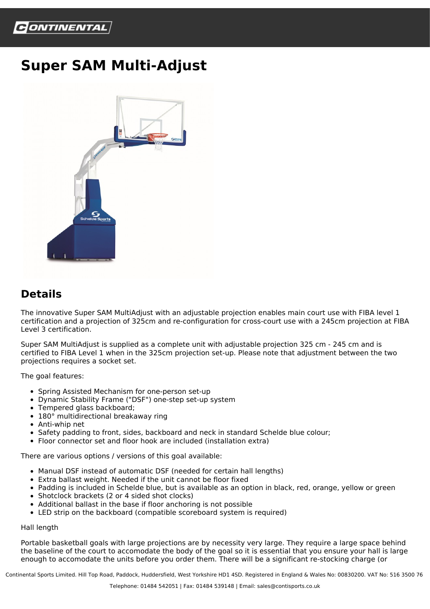

## **Super SAM Multi-Adjust**



## **Details**

The innovative Super SAM MultiAdjust with an adjustable projection enables main court use with FIBA level 1 certification and a projection of 325cm and re-configuration for cross-court use with a 245cm projection at FIBA Level 3 certification.

Super SAM MultiAdjust is supplied as a complete unit with adjustable projection 325 cm - 245 cm and is certified to FIBA Level 1 when in the 325cm projection set-up. Please note that adjustment between the two projections requires a socket set.

The goal features:

- Spring Assisted Mechanism for one-person set-up
- Dynamic Stability Frame ("DSF") one-step set-up system
- Tempered glass backboard;
- 180° multidirectional breakaway ring
- Anti-whip net
- Safety padding to front, sides, backboard and neck in standard Schelde blue colour;
- Floor connector set and floor hook are included (installation extra)

There are various options / versions of this goal available:

- Manual DSF instead of automatic DSF (needed for certain hall lengths)
- Extra ballast weight. Needed if the unit cannot be floor fixed
- Padding is included in Schelde blue, but is available as an option in black, red, orange, yellow or green
- Shotclock brackets (2 or 4 sided shot clocks)
- Additional ballast in the base if floor anchoring is not possible
- LED strip on the backboard (compatible scoreboard system is required)

## Hall length

Portable basketball goals with large projections are by necessity very large. They require a large space behind the baseline of the court to accomodate the body of the goal so it is essential that you ensure your hall is large enough to accomodate the units before you order them. There will be a significant re-stocking charge (or

Continental Sports Limited. Hill Top Road, Paddock, Huddersfield, West Yorkshire HD1 4SD. Registered in England & Wales No: 00830200. VAT No: 516 3500 76